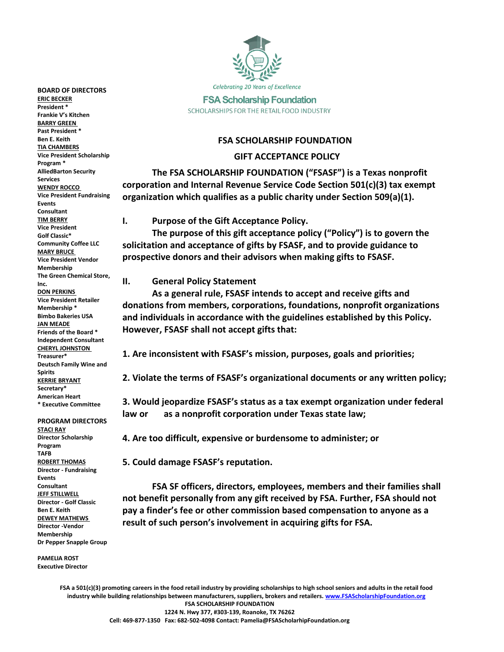

**FSA Scholarship Foundation** SCHOLARSHIPS FOR THE RETAIL FOOD INDUSTRY

#### **FSA SCHOLARSHIP FOUNDATION**

#### **GIFT ACCEPTANCE POLICY**

**The FSA SCHOLARSHIP FOUNDATION ("FSASF") is a Texas nonprofit corporation and Internal Revenue Service Code Section 501(c)(3) tax exempt organization which qualifies as a public charity under Section 509(a)(1).** 

#### **I. Purpose of the Gift Acceptance Policy.**

**The purpose of this gift acceptance policy ("Policy") is to govern the solicitation and acceptance of gifts by FSASF, and to provide guidance to prospective donors and their advisors when making gifts to FSASF.** 

**II. General Policy Statement**

**As a general rule, FSASF intends to accept and receive gifts and donations from members, corporations, foundations, nonprofit organizations and individuals in accordance with the guidelines established by this Policy. However, FSASF shall not accept gifts that:**

**1. Are inconsistent with FSASF's mission, purposes, goals and priorities;**

**2. Violate the terms of FSASF's organizational documents or any written policy;**

**3. Would jeopardize FSASF's status as a tax exempt organization under federal law or as a nonprofit corporation under Texas state law;**

**4. Are too difficult, expensive or burdensome to administer; or**

**5. Could damage FSASF's reputation.** 

**FSA SF officers, directors, employees, members and their families shall not benefit personally from any gift received by FSA. Further, FSA should not pay a finder's fee or other commission based compensation to anyone as a result of such person's involvement in acquiring gifts for FSA.**

**FSA a 501(c)(3) promoting careers in the food retail industry by providing scholarships to high school seniors and adults in the retail food industry while building relationships between manufacturers, suppliers, brokers and retailers[. www.FSAScholarshipFoundation.org](http://www.fsascholarshipfoundation.org/) FSA SCHOLARSHIP FOUNDATION 1224 N. Hwy 377, #303-139, Roanoke, TX 76262 Cell: 469-877-1350 Fax: 682-502-4098 Contact: Pamelia@FSAScholarhipFoundation.org**

**BOARD OF DIRECTORS ERIC BECKER President \* Frankie V's Kitchen BARRY GREEN Past President \* Ben E. Keith TIA CHAMBERS Vice President Scholarship Program \* AlliedBarton Security Services WENDY ROCCO Vice President Fundraising Events Consultant TIM BERRY Vice President Golf Classic\* Community Coffee LLC MARY BRUCE Vice President Vendor Membership The Green Chemical Store, Inc. DON PERKINS Vice President Retailer Membership \* Bimbo Bakeries USA JAN MEADE Friends of the Board \* Independent Consultant CHERYL JOHNSTON Treasurer\* Deutsch Family Wine and Spirits KERRIE BRYANT Secretary\* American Heart \* Executive Committee**

**PROGRAM DIRECTORS STACI RAY Director Scholarship Program TAFB ROBERT THOMAS Director - Fundraising Events Consultant JEFF STILLWELL Director - Golf Classic Ben E. Keith DEWEY MATHEWS Director -Vendor Membership Dr Pepper Snapple Group**

**PAMELIA ROST Executive Director**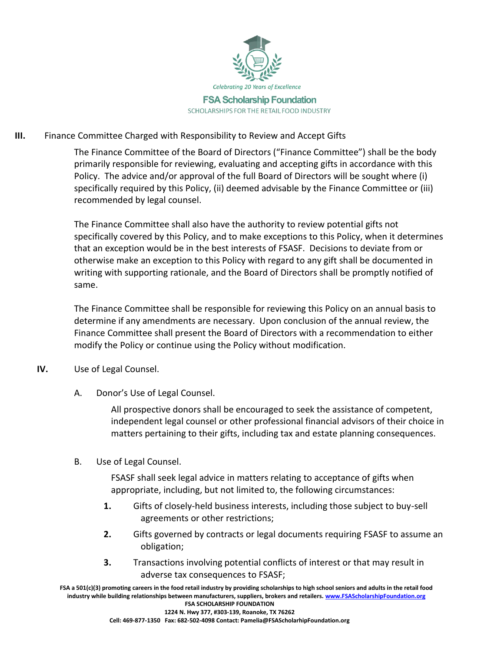

# **III.** Finance Committee Charged with Responsibility to Review and Accept Gifts

The Finance Committee of the Board of Directors ("Finance Committee") shall be the body primarily responsible for reviewing, evaluating and accepting gifts in accordance with this Policy. The advice and/or approval of the full Board of Directors will be sought where (i) specifically required by this Policy, (ii) deemed advisable by the Finance Committee or (iii) recommended by legal counsel.

The Finance Committee shall also have the authority to review potential gifts not specifically covered by this Policy, and to make exceptions to this Policy, when it determines that an exception would be in the best interests of FSASF. Decisions to deviate from or otherwise make an exception to this Policy with regard to any gift shall be documented in writing with supporting rationale, and the Board of Directors shall be promptly notified of same.

The Finance Committee shall be responsible for reviewing this Policy on an annual basis to determine if any amendments are necessary. Upon conclusion of the annual review, the Finance Committee shall present the Board of Directors with a recommendation to either modify the Policy or continue using the Policy without modification.

# **IV.** Use of Legal Counsel.

A. Donor's Use of Legal Counsel.

All prospective donors shall be encouraged to seek the assistance of competent, independent legal counsel or other professional financial advisors of their choice in matters pertaining to their gifts, including tax and estate planning consequences.

B. Use of Legal Counsel.

FSASF shall seek legal advice in matters relating to acceptance of gifts when appropriate, including, but not limited to, the following circumstances:

- **1.** Gifts of closely-held business interests, including those subject to buy-sell agreements or other restrictions;
- **2.** Gifts governed by contracts or legal documents requiring FSASF to assume an obligation;
- **3.** Transactions involving potential conflicts of interest or that may result in adverse tax consequences to FSASF;

**FSA a 501(c)(3) promoting careers in the food retail industry by providing scholarships to high school seniors and adults in the retail food industry while building relationships between manufacturers, suppliers, brokers and retailers[. www.FSAScholarshipFoundation.org](http://www.fsascholarshipfoundation.org/) FSA SCHOLARSHIP FOUNDATION 1224 N. Hwy 377, #303-139, Roanoke, TX 76262**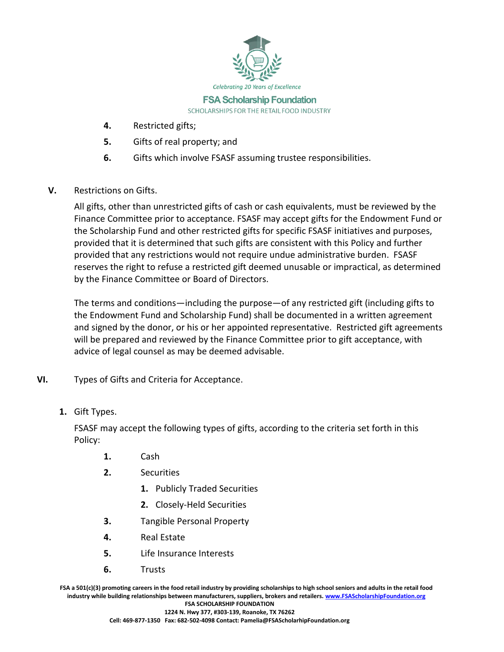

**FSA Scholarship Foundation** SCHOLARSHIPS FOR THE RETAIL FOOD INDUSTRY

- **4.** Restricted gifts;
- **5.** Gifts of real property; and
- **6.** Gifts which involve FSASF assuming trustee responsibilities.
- **V.** Restrictions on Gifts.

All gifts, other than unrestricted gifts of cash or cash equivalents, must be reviewed by the Finance Committee prior to acceptance. FSASF may accept gifts for the Endowment Fund or the Scholarship Fund and other restricted gifts for specific FSASF initiatives and purposes, provided that it is determined that such gifts are consistent with this Policy and further provided that any restrictions would not require undue administrative burden. FSASF reserves the right to refuse a restricted gift deemed unusable or impractical, as determined by the Finance Committee or Board of Directors.

The terms and conditions—including the purpose—of any restricted gift (including gifts to the Endowment Fund and Scholarship Fund) shall be documented in a written agreement and signed by the donor, or his or her appointed representative. Restricted gift agreements will be prepared and reviewed by the Finance Committee prior to gift acceptance, with advice of legal counsel as may be deemed advisable.

- **VI.** Types of Gifts and Criteria for Acceptance.
	- **1.** Gift Types.

FSASF may accept the following types of gifts, according to the criteria set forth in this Policy:

- **1.** Cash
- **2.** Securities
	- **1.** Publicly Traded Securities
	- **2.** Closely-Held Securities
- **3.** Tangible Personal Property
- **4.** Real Estate
- **5.** Life Insurance Interests
- **6.** Trusts

**FSA a 501(c)(3) promoting careers in the food retail industry by providing scholarships to high school seniors and adults in the retail food industry while building relationships between manufacturers, suppliers, brokers and retailers[. www.FSAScholarshipFoundation.org](http://www.fsascholarshipfoundation.org/) FSA SCHOLARSHIP FOUNDATION**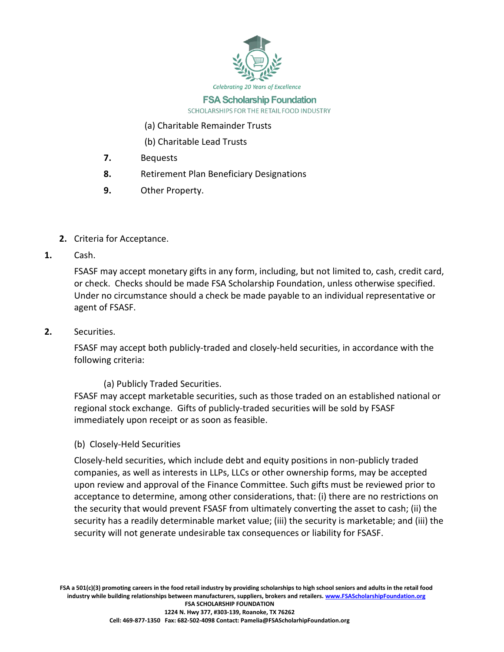

#### **FSA Scholarship Foundation** SCHOLARSHIPS FOR THE RETAIL FOOD INDUSTRY

- (a) Charitable Remainder Trusts
- (b) Charitable Lead Trusts
- **7.** Bequests
- **8.** Retirement Plan Beneficiary Designations
- **9.** Other Property.
- **2.** Criteria for Acceptance.
- **1.** Cash.

FSASF may accept monetary gifts in any form, including, but not limited to, cash, credit card, or check. Checks should be made FSA Scholarship Foundation, unless otherwise specified. Under no circumstance should a check be made payable to an individual representative or agent of FSASF.

**2.** Securities.

FSASF may accept both publicly-traded and closely-held securities, in accordance with the following criteria:

# (a) Publicly Traded Securities.

FSASF may accept marketable securities, such as those traded on an established national or regional stock exchange. Gifts of publicly-traded securities will be sold by FSASF immediately upon receipt or as soon as feasible.

(b) Closely-Held Securities

Closely-held securities, which include debt and equity positions in non-publicly traded companies, as well as interests in LLPs, LLCs or other ownership forms, may be accepted upon review and approval of the Finance Committee. Such gifts must be reviewed prior to acceptance to determine, among other considerations, that: (i) there are no restrictions on the security that would prevent FSASF from ultimately converting the asset to cash; (ii) the security has a readily determinable market value; (iii) the security is marketable; and (iii) the security will not generate undesirable tax consequences or liability for FSASF.

**FSA a 501(c)(3) promoting careers in the food retail industry by providing scholarships to high school seniors and adults in the retail food industry while building relationships between manufacturers, suppliers, brokers and retailers[. www.FSAScholarshipFoundation.org](http://www.fsascholarshipfoundation.org/) FSA SCHOLARSHIP FOUNDATION 1224 N. Hwy 377, #303-139, Roanoke, TX 76262 Cell: 469-877-1350 Fax: 682-502-4098 Contact: Pamelia@FSAScholarhipFoundation.org**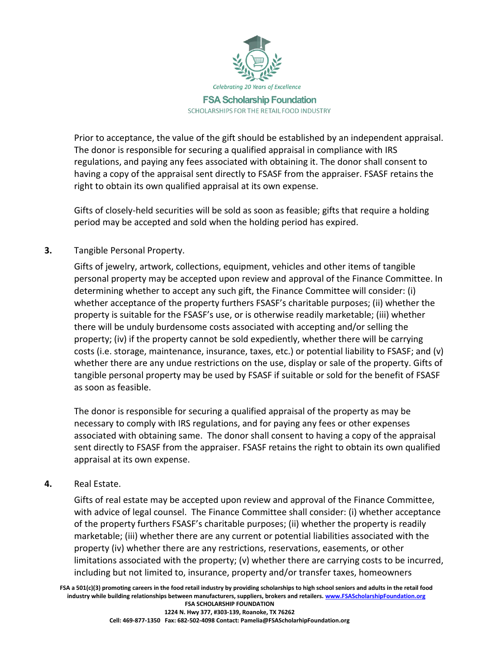

Prior to acceptance, the value of the gift should be established by an independent appraisal. The donor is responsible for securing a qualified appraisal in compliance with IRS regulations, and paying any fees associated with obtaining it. The donor shall consent to having a copy of the appraisal sent directly to FSASF from the appraiser. FSASF retains the right to obtain its own qualified appraisal at its own expense.

Gifts of closely-held securities will be sold as soon as feasible; gifts that require a holding period may be accepted and sold when the holding period has expired.

# **3.** Tangible Personal Property.

Gifts of jewelry, artwork, collections, equipment, vehicles and other items of tangible personal property may be accepted upon review and approval of the Finance Committee. In determining whether to accept any such gift, the Finance Committee will consider: (i) whether acceptance of the property furthers FSASF's charitable purposes; (ii) whether the property is suitable for the FSASF's use, or is otherwise readily marketable; (iii) whether there will be unduly burdensome costs associated with accepting and/or selling the property; (iv) if the property cannot be sold expediently, whether there will be carrying costs (i.e. storage, maintenance, insurance, taxes, etc.) or potential liability to FSASF; and (v) whether there are any undue restrictions on the use, display or sale of the property. Gifts of tangible personal property may be used by FSASF if suitable or sold for the benefit of FSASF as soon as feasible.

The donor is responsible for securing a qualified appraisal of the property as may be necessary to comply with IRS regulations, and for paying any fees or other expenses associated with obtaining same. The donor shall consent to having a copy of the appraisal sent directly to FSASF from the appraiser. FSASF retains the right to obtain its own qualified appraisal at its own expense.

# **4.** Real Estate.

Gifts of real estate may be accepted upon review and approval of the Finance Committee, with advice of legal counsel. The Finance Committee shall consider: (i) whether acceptance of the property furthers FSASF's charitable purposes; (ii) whether the property is readily marketable; (iii) whether there are any current or potential liabilities associated with the property (iv) whether there are any restrictions, reservations, easements, or other limitations associated with the property; (v) whether there are carrying costs to be incurred, including but not limited to, insurance, property and/or transfer taxes, homeowners

**FSA a 501(c)(3) promoting careers in the food retail industry by providing scholarships to high school seniors and adults in the retail food industry while building relationships between manufacturers, suppliers, brokers and retailers[. www.FSAScholarshipFoundation.org](http://www.fsascholarshipfoundation.org/) FSA SCHOLARSHIP FOUNDATION**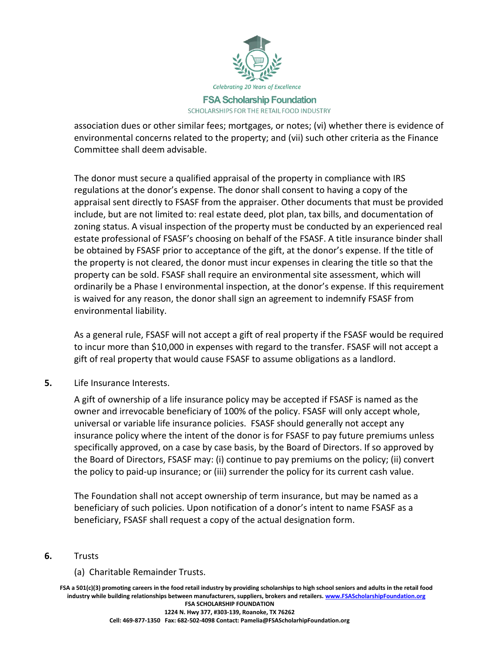

association dues or other similar fees; mortgages, or notes; (vi) whether there is evidence of environmental concerns related to the property; and (vii) such other criteria as the Finance Committee shall deem advisable.

The donor must secure a qualified appraisal of the property in compliance with IRS regulations at the donor's expense. The donor shall consent to having a copy of the appraisal sent directly to FSASF from the appraiser. Other documents that must be provided include, but are not limited to: real estate deed, plot plan, tax bills, and documentation of zoning status. A visual inspection of the property must be conducted by an experienced real estate professional of FSASF's choosing on behalf of the FSASF. A title insurance binder shall be obtained by FSASF prior to acceptance of the gift, at the donor's expense. If the title of the property is not cleared, the donor must incur expenses in clearing the title so that the property can be sold. FSASF shall require an environmental site assessment, which will ordinarily be a Phase I environmental inspection, at the donor's expense. If this requirement is waived for any reason, the donor shall sign an agreement to indemnify FSASF from environmental liability.

As a general rule, FSASF will not accept a gift of real property if the FSASF would be required to incur more than \$10,000 in expenses with regard to the transfer. FSASF will not accept a gift of real property that would cause FSASF to assume obligations as a landlord.

**5.** Life Insurance Interests.

A gift of ownership of a life insurance policy may be accepted if FSASF is named as the owner and irrevocable beneficiary of 100% of the policy. FSASF will only accept whole, universal or variable life insurance policies. FSASF should generally not accept any insurance policy where the intent of the donor is for FSASF to pay future premiums unless specifically approved, on a case by case basis, by the Board of Directors. If so approved by the Board of Directors, FSASF may: (i) continue to pay premiums on the policy; (ii) convert the policy to paid-up insurance; or (iii) surrender the policy for its current cash value.

The Foundation shall not accept ownership of term insurance, but may be named as a beneficiary of such policies. Upon notification of a donor's intent to name FSASF as a beneficiary, FSASF shall request a copy of the actual designation form.

## **6.** Trusts

## (a) Charitable Remainder Trusts.

**FSA a 501(c)(3) promoting careers in the food retail industry by providing scholarships to high school seniors and adults in the retail food industry while building relationships between manufacturers, suppliers, brokers and retailers[. www.FSAScholarshipFoundation.org](http://www.fsascholarshipfoundation.org/) FSA SCHOLARSHIP FOUNDATION 1224 N. Hwy 377, #303-139, Roanoke, TX 76262**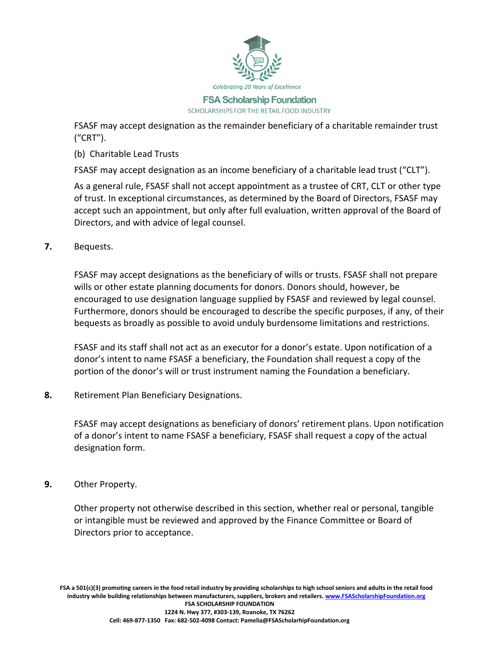

FSASF may accept designation as the remainder beneficiary of a charitable remainder trust ("CRT").

(b) Charitable Lead Trusts

FSASF may accept designation as an income beneficiary of a charitable lead trust ("CLT").

As a general rule, FSASF shall not accept appointment as a trustee of CRT, CLT or other type of trust. In exceptional circumstances, as determined by the Board of Directors, FSASF may accept such an appointment, but only after full evaluation, written approval of the Board of Directors, and with advice of legal counsel.

**7.** Bequests.

FSASF may accept designations as the beneficiary of wills or trusts. FSASF shall not prepare wills or other estate planning documents for donors. Donors should, however, be encouraged to use designation language supplied by FSASF and reviewed by legal counsel. Furthermore, donors should be encouraged to describe the specific purposes, if any, of their bequests as broadly as possible to avoid unduly burdensome limitations and restrictions.

FSASF and its staff shall not act as an executor for a donor's estate. Upon notification of a donor's intent to name FSASF a beneficiary, the Foundation shall request a copy of the portion of the donor's will or trust instrument naming the Foundation a beneficiary.

**8.** Retirement Plan Beneficiary Designations.

FSASF may accept designations as beneficiary of donors' retirement plans. Upon notification of a donor's intent to name FSASF a beneficiary, FSASF shall request a copy of the actual designation form.

**9.** Other Property.

Other property not otherwise described in this section, whether real or personal, tangible or intangible must be reviewed and approved by the Finance Committee or Board of Directors prior to acceptance.